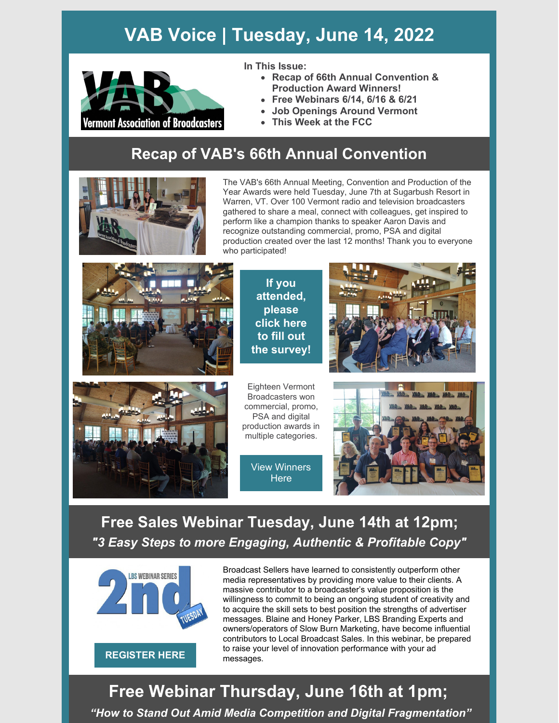# **VAB Voice | Tuesday, June 14, 2022**



**In This Issue:**

- **Recap of 66th Annual Convention & Production Award Winners!**
- **Free Webinars 6/14, 6/16 & 6/21**
- **Job Openings Around Vermont**
- **This Week at the FCC**

### **Recap of VAB's 66th Annual Convention**



The VAB's 66th Annual Meeting, Convention and Production of the Year Awards were held Tuesday, June 7th at Sugarbush Resort in Warren, VT. Over 100 Vermont radio and television broadcasters gathered to share a meal, connect with colleagues, get inspired to perform like a champion thanks to speaker Aaron Davis and recognize outstanding commercial, promo, PSA and digital production created over the last 12 months! Thank you to everyone who participated!



**If you [attended,](https://forms.gle/dweZ9QoUmGYFXJA46) please click here to fill out the survey!**





Eighteen Vermont Broadcasters won commercial, promo, PSA and digital production awards in multiple categories.





### **Free Sales Webinar Tuesday, June 14th at 12pm;** *"3 Easy Steps to more Engaging, Authentic & Profitable Copy"*



Broadcast Sellers have learned to consistently outperform other media representatives by providing more value to their clients. A massive contributor to a broadcaster's value proposition is the willingness to commit to being an ongoing student of creativity and to acquire the skill sets to best position the strengths of advertiser messages. Blaine and Honey Parker, LBS Branding Experts and owners/operators of Slow Burn Marketing, have become influential contributors to Local Broadcast Sales. In this webinar, be prepared to raise your level of innovation performance with your ad messages.

# **Free Webinar Thursday, June 16th at 1pm;**

*"How to Stand Out Amid Media Competition and Digital Fragmentation"*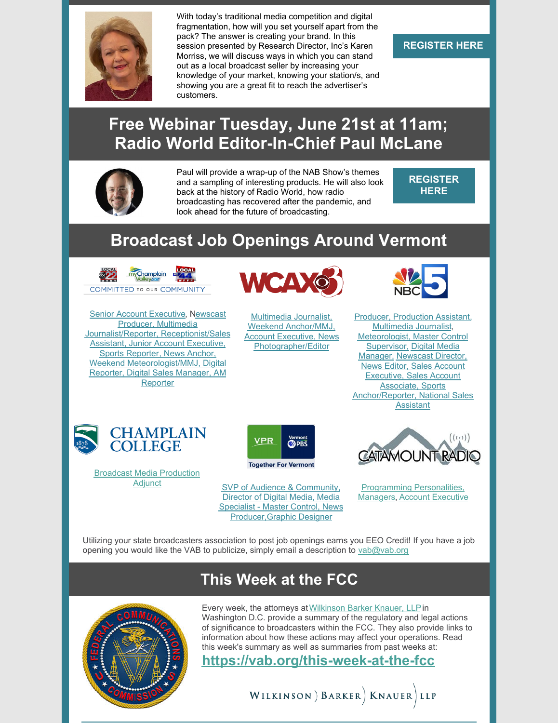

With today's traditional media competition and digital fragmentation, how will you set yourself apart from the pack? The answer is creating your brand. In this session presented by Research Director, Inc's Karen Morriss, we will discuss ways in which you can stand out as a local broadcast seller by increasing your knowledge of your market, knowing your station/s, and showing you are a great fit to reach the advertiser's customers.

#### **[REGISTER](https://michiganassociationofbroadcasters.growthzoneapp.com/ap/Events/Register/VLz91Q5P?mode=Attendee) HERE**

### **Free Webinar Tuesday, June 21st at 11am; Radio World Editor-In-Chief Paul McLane**



Paul will provide a wrap-up of the NAB Show's themes and a sampling of interesting products. He will also look back at the history of Radio World, how radio broadcasting has recovered after the pandemic, and look ahead for the future of broadcasting.

**[REGISTER](https://us02web.zoom.us/meeting/register/tZYtde2trDojH9CNfOPwNy5fHbUPieNTo7JR) HERE**

## **Broadcast Job Openings Around Vermont**



**Senior Account [Executive](https://vab.org/2021/08/16/job-openings-at-local-22-44/), Newscast** Producer, Multimedia [Journalist/Reporter,](https://vab.org/2021/08/16/job-openings-at-local-22-44/) Receptionist/Sales **Assistant, Junior Account Executive,** Sports Reporter, News Anchor, Weekend [Meteorologist/MMJ,](https://vab.org/2021/08/16/job-openings-at-local-22-44/) Digital Reporter, Digital Sales Manager, AM **Reporter** 



Multimedia Journalist, Weekend Anchor/MMJ, Account Executive, News [Photographer/Editor](https://vab.org/2022/01/23/job-openings-at-wcax/)



**Producer, [Production](https://vab.org/2021/08/12/job-openings-at-nbc5/) Assistant,** [Multimedia](https://vab.org/2021/08/12/job-openings-at-nbc5/) Journalist, [Meteorologist,](https://vab.org/2021/08/12/job-openings-at-nbc5/) Master Control [Supervisor,](https://vab.org/2021/08/12/job-openings-at-nbc5/) Digital Media Manager, [Newscast](https://vab.org/2021/08/12/job-openings-at-nbc5/) Director, News Editor, Sales Account Executive, Sales Account [Associate,](https://vab.org/2021/08/12/job-openings-at-nbc5/) Sports [Anchor/Reporter,](https://vab.org/2021/08/12/job-openings-at-nbc5/) National Sales Assistant



Broadcast Media [Production](https://vab.org/2021/10/18/broadcast-media-production-adjunct-job-opening-at-champlain-college/)



Adjunct SVP of Audience & Community, Director of Digital Media, Media Specialist - Master Control, News [Producer,Graphic](https://vab.org/2021/08/23/job-openings-at-vt-pbs/) Designer



[Programming](https://vab.org/2021/08/17/job-opening-at-catamount-radio/) Personalities, Managers, Account [Executive](https://vab.org/2021/08/17/job-opening-at-catamount-radio/)

Utilizing your state broadcasters association to post job openings earns you EEO Credit! If you have a job opening you would like the VAB to publicize, simply email a description to [vab@vab.org](mailto:vab@vab.org)

### **This Week at the FCC**



Every week, the attorneys at [Wilkinson](https://www.wbklaw.com/) Barker Knauer, LLP in Washington D.C. provide a summary of the regulatory and legal actions of significance to broadcasters within the FCC. They also provide links to information about how these actions may affect your operations. Read this week's summary as well as summaries from past weeks at:

**[https://vab.org/this-week-at-the-fcc](https://vab.org/this-week-at-the-fcc/)**

WILKINSON ) BARKER | KNAUER LLP